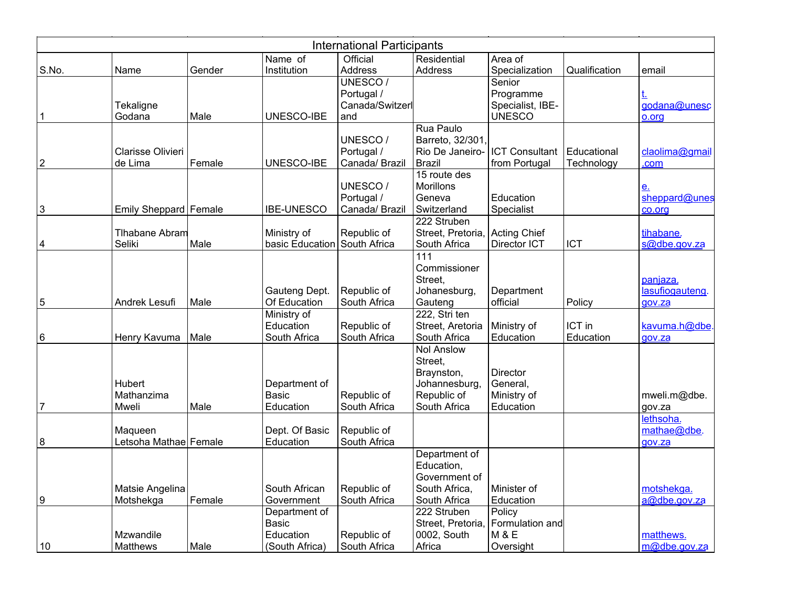| <b>International Participants</b> |                         |        |                   |                 |                   |                       |               |                 |
|-----------------------------------|-------------------------|--------|-------------------|-----------------|-------------------|-----------------------|---------------|-----------------|
|                                   |                         |        | Name of           | Official        | Residential       | Area of               |               |                 |
| S.No.                             | Name                    | Gender | Institution       | Address         | Address           | Specialization        | Qualification | email           |
|                                   |                         |        |                   | UNESCO/         |                   | Senior                |               |                 |
|                                   |                         |        |                   | Portugal /      |                   | Programme             |               |                 |
|                                   | Tekaligne               |        |                   | Canada/Switzerl |                   | Specialist, IBE-      |               | godana@unesc    |
| $\mathbf 1$                       | Godana                  | Male   | UNESCO-IBE        | and             |                   | <b>UNESCO</b>         |               | o.org           |
|                                   |                         |        |                   |                 | Rua Paulo         |                       |               |                 |
|                                   |                         |        |                   | UNESCO/         | Barreto, 32/301.  |                       |               |                 |
|                                   | Clarisse Olivieri       |        |                   | Portugal /      | Rio De Janeiro-   | <b>ICT Consultant</b> | Educational   | claolima@gmail  |
| $\boldsymbol{2}$                  | de Lima                 | Female | UNESCO-IBE        | Canada/ Brazil  | <b>Brazil</b>     | from Portugal         | Technology    | .com            |
|                                   |                         |        |                   |                 | 15 route des      |                       |               |                 |
|                                   |                         |        |                   | UNESCO/         | <b>Morillons</b>  |                       |               | <u>e.</u>       |
|                                   |                         |        |                   | Portugal /      | Geneva            | Education             |               | sheppard@unes   |
| $\mathfrak{B}$                    | Emily Sheppard   Female |        | <b>IBE-UNESCO</b> | Canada/ Brazil  | Switzerland       | Specialist            |               | co.org          |
|                                   |                         |        |                   |                 | 222 Struben       |                       |               |                 |
|                                   | Tlhabane Abram          |        | Ministry of       | Republic of     | Street, Pretoria  | <b>Acting Chief</b>   |               | tihabane.       |
| 4                                 | Seliki                  | Male   | basic Education   | South Africa    | South Africa      | Director ICT          | <b>ICT</b>    | s@dbe.gov.za    |
|                                   |                         |        |                   |                 | 111               |                       |               |                 |
|                                   |                         |        |                   |                 | Commissioner      |                       |               |                 |
|                                   |                         |        |                   |                 | Street,           |                       |               | panjaza.        |
|                                   |                         |        | Gauteng Dept.     | Republic of     | Johanesburg,      | Department            |               | lasufiogauteng. |
| 5                                 | Andrek Lesufi           | Male   | Of Education      | South Africa    | Gauteng           | official              | Policy        | gov.za          |
|                                   |                         |        | Ministry of       |                 | 222, Stri ten     |                       |               |                 |
|                                   |                         |        | Education         | Republic of     | Street, Aretoria  | Ministry of           | ICT in        | kavuma.h@dbe    |
| 6                                 | Henry Kavuma            | Male   | South Africa      | South Africa    | South Africa      | Education             | Education     | gov.za          |
|                                   |                         |        |                   |                 | <b>Nol Anslow</b> |                       |               |                 |
|                                   |                         |        |                   |                 | Street,           |                       |               |                 |
|                                   |                         |        |                   |                 | Braynston,        | Director              |               |                 |
|                                   | Hubert                  |        | Department of     |                 | Johannesburg,     | General,              |               |                 |
|                                   | Mathanzima              |        | <b>Basic</b>      | Republic of     | Republic of       | Ministry of           |               | mweli.m@dbe.    |
| 7                                 | Mweli                   | Male   | Education         | South Africa    | South Africa      | Education             |               | gov.za          |
|                                   |                         |        |                   |                 |                   |                       |               | lethsoha.       |
|                                   | Maqueen                 |        | Dept. Of Basic    | Republic of     |                   |                       |               | mathae@dbe.     |
| 8                                 | Letsoha Mathae Female   |        | Education         | South Africa    |                   |                       |               | gov.za          |
|                                   |                         |        |                   |                 | Department of     |                       |               |                 |
|                                   |                         |        |                   |                 | Education,        |                       |               |                 |
|                                   |                         |        |                   |                 | Government of     |                       |               |                 |
|                                   | Matsie Angelina         |        | South African     | Republic of     | South Africa,     | Minister of           |               | motshekga.      |
| 9                                 | Motshekga               | Female | Government        | South Africa    | South Africa      | Education             |               | a@dbe.gov.za    |
|                                   |                         |        | Department of     |                 | 222 Struben       | Policy                |               |                 |
|                                   |                         |        | <b>Basic</b>      |                 | Street, Pretoria  | Formulation and       |               |                 |
|                                   | Mzwandile               |        | Education         | Republic of     | 0002, South       | <b>M &amp; E</b>      |               | matthews.       |
| 10                                | <b>Matthews</b>         | Male   | (South Africa)    | South Africa    | Africa            | Oversight             |               | m@dbe.gov.za    |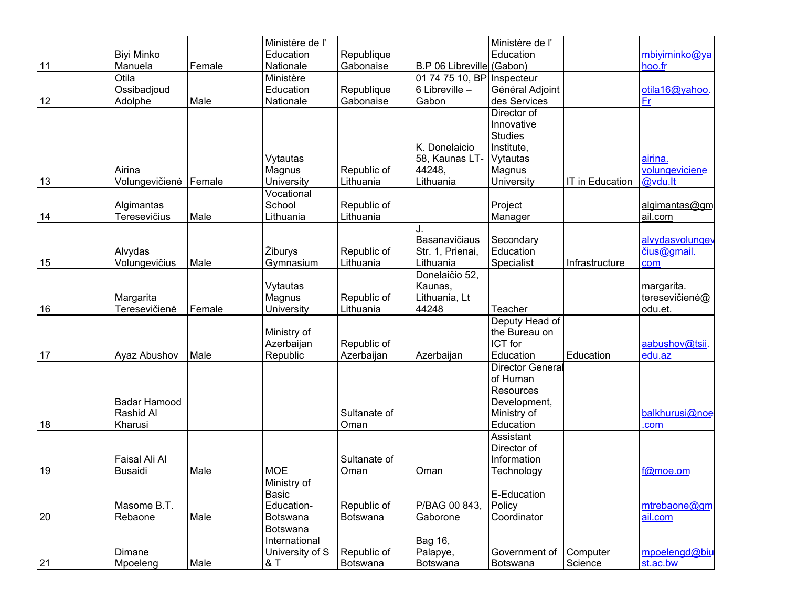|    |                     |        | Ministère de l' |              |                           | Ministère de l'         |                 |                 |
|----|---------------------|--------|-----------------|--------------|---------------------------|-------------------------|-----------------|-----------------|
|    | <b>Biyi Minko</b>   |        | Education       | Republique   |                           | Education               |                 | mbiyiminko@ya   |
| 11 | Manuela             | Female | Nationale       | Gabonaise    | B.P 06 Libreville (Gabon) |                         |                 | hoo.fr          |
|    | Otila               |        | Ministère       |              | 01 74 75 10, BP           | Inspecteur              |                 |                 |
|    | Ossibadjoud         |        | Education       | Republique   | 6 Libreville -            | Général Adjoint         |                 | otila16@yahoo.  |
| 12 | Adolphe             | Male   | Nationale       | Gabonaise    | Gabon                     | des Services            |                 | Fr              |
|    |                     |        |                 |              |                           | Director of             |                 |                 |
|    |                     |        |                 |              |                           | Innovative              |                 |                 |
|    |                     |        |                 |              |                           | <b>Studies</b>          |                 |                 |
|    |                     |        |                 |              | K. Donelaicio             | Institute,              |                 |                 |
|    |                     |        | Vytautas        |              | 58, Kaunas LT-            | Vytautas                |                 | airina.         |
|    | Airina              |        | Magnus          | Republic of  | 44248.                    | Magnus                  |                 | volungeviciene  |
| 13 | Volungevičienė      | Female | University      | Lithuania    | Lithuania                 | University              | IT in Education | @vdu.lt         |
|    |                     |        | Vocational      |              |                           |                         |                 |                 |
|    | Algimantas          |        | School          | Republic of  |                           | Project                 |                 | algimantas@gm   |
| 14 | <b>Teresevičius</b> | Male   | Lithuania       | Lithuania    |                           | Manager                 |                 | ail.com         |
|    |                     |        |                 |              |                           |                         |                 |                 |
|    |                     |        |                 |              | Basanavičiaus             | Secondary               |                 | alvydasvolungev |
|    | Alvydas             |        | Žiburys         | Republic of  | Str. 1, Prienai,          | Education               |                 | čius@gmail.     |
| 15 | Volungevičius       | Male   | Gymnasium       | Lithuania    | Lithuania                 | Specialist              | Infrastructure  | com             |
|    |                     |        |                 |              | Donelaičio 52,            |                         |                 |                 |
|    |                     |        | Vytautas        |              | Kaunas,                   |                         |                 | margarita.      |
|    | Margarita           |        | Magnus          | Republic of  | Lithuania, Lt             |                         |                 | teresevičienė@  |
| 16 | Teresevičienė       | Female | University      | Lithuania    | 44248                     | Teacher                 |                 | odu.et.         |
|    |                     |        |                 |              |                           | Deputy Head of          |                 |                 |
|    |                     |        | Ministry of     |              |                           | the Bureau on           |                 |                 |
|    |                     |        | Azerbaijan      | Republic of  |                           | ICT for                 |                 | aabushov@tsii.  |
| 17 | Ayaz Abushov        | Male   | Republic        | Azerbaijan   | Azerbaijan                | Education               | Education       | edu.az          |
|    |                     |        |                 |              |                           | <b>Director General</b> |                 |                 |
|    |                     |        |                 |              |                           | of Human                |                 |                 |
|    |                     |        |                 |              |                           | Resources               |                 |                 |
|    | Badar Hamood        |        |                 |              |                           | Development,            |                 |                 |
|    | Rashid Al           |        |                 | Sultanate of |                           | Ministry of             |                 | balkhurusi@noe  |
| 18 | Kharusi             |        |                 | Oman         |                           | Education               |                 | .com            |
|    |                     |        |                 |              |                           | Assistant               |                 |                 |
|    |                     |        |                 |              |                           | Director of             |                 |                 |
|    | Faisal Ali Al       |        |                 | Sultanate of |                           | Information             |                 |                 |
| 19 | <b>Busaidi</b>      | Male   | <b>MOE</b>      | Oman         | Oman                      | Technology              |                 | f@moe.om        |
|    |                     |        | Ministry of     |              |                           |                         |                 |                 |
|    |                     |        | Basic           |              |                           | E-Education             |                 |                 |
|    | Masome B.T.         |        | Education-      | Republic of  | P/BAG 00 843,             | Policy                  |                 | mtrebaone@gm    |
| 20 | Rebaone             | Male   | Botswana        | Botswana     | Gaborone                  | Coordinator             |                 | ail.com         |
|    |                     |        | Botswana        |              |                           |                         |                 |                 |
|    |                     |        | International   |              | Bag 16,                   |                         |                 |                 |
|    | Dimane              |        | University of S | Republic of  | Palapye,                  | Government of           | Computer        | mpoelengd@biu   |
| 21 | Mpoeleng            | Male   | & T             | Botswana     | Botswana                  | Botswana                | Science         | st.ac.bw        |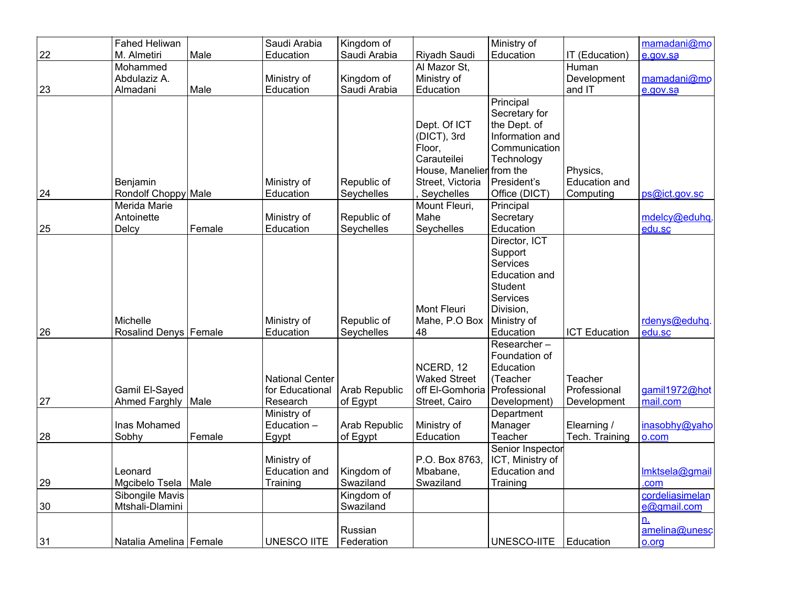|    | <b>Fahed Heliwan</b>    |        | Saudi Arabia           | Kingdom of    |                          | Ministry of      |                      | mamadani@mo     |
|----|-------------------------|--------|------------------------|---------------|--------------------------|------------------|----------------------|-----------------|
| 22 | M. Almetiri             | Male   | Education              | Saudi Arabia  | Riyadh Saudi             | Education        | IT (Education)       | e.gov.sa        |
|    | Mohammed                |        |                        |               | Al Mazor St,             |                  | Human                |                 |
|    | Abdulaziz A.            |        | Ministry of            | Kingdom of    | Ministry of              |                  | Development          | mamadani@mo     |
| 23 | Almadani                | Male   | Education              | Saudi Arabia  | Education                |                  | and IT               | e.gov.sa        |
|    |                         |        |                        |               |                          | Principal        |                      |                 |
|    |                         |        |                        |               |                          | Secretary for    |                      |                 |
|    |                         |        |                        |               | Dept. Of ICT             | the Dept. of     |                      |                 |
|    |                         |        |                        |               | (DICT), 3rd              | Information and  |                      |                 |
|    |                         |        |                        |               | Floor,                   | Communication    |                      |                 |
|    |                         |        |                        |               | Carauteilei              | Technology       |                      |                 |
|    |                         |        |                        |               | House, Manelier from the |                  | Physics,             |                 |
|    | Benjamin                |        | Ministry of            | Republic of   | Street, Victoria         | President's      | Education and        |                 |
| 24 | Rondolf Choppy Male     |        | Education              | Seychelles    | Seychelles               | Office (DICT)    | Computing            | ps@ict.gov.sc   |
|    | Merida Marie            |        |                        |               | Mount Fleuri,            | Principal        |                      |                 |
|    | Antoinette              |        | Ministry of            | Republic of   | Mahe                     | Secretary        |                      | mdelcy@eduhq.   |
| 25 | Delcy                   | Female | Education              | Seychelles    | Seychelles               | Education        |                      | edu.sc          |
|    |                         |        |                        |               |                          | Director, ICT    |                      |                 |
|    |                         |        |                        |               |                          | Support          |                      |                 |
|    |                         |        |                        |               |                          | <b>Services</b>  |                      |                 |
|    |                         |        |                        |               |                          | Education and    |                      |                 |
|    |                         |        |                        |               |                          | Student          |                      |                 |
|    |                         |        |                        |               |                          | Services         |                      |                 |
|    |                         |        |                        |               | <b>Mont Fleuri</b>       | Division,        |                      |                 |
|    | Michelle                |        | Ministry of            | Republic of   | Mahe, P.O Box            | Ministry of      |                      | rdenys@eduhg.   |
| 26 | Rosalind Denys   Female |        | Education              | Seychelles    | 48                       | Education        | <b>ICT Education</b> | edu.sc          |
|    |                         |        |                        |               |                          | $Researcher -$   |                      |                 |
|    |                         |        |                        |               |                          | Foundation of    |                      |                 |
|    |                         |        |                        |               | NCERD, 12                | Education        |                      |                 |
|    |                         |        | <b>National Center</b> |               | <b>Waked Street</b>      | (Teacher         | Teacher              |                 |
|    | Gamil El-Sayed          |        | for Educational        | Arab Republic | off El-Gomhoria          | Professional     | Professional         | gamil1972@hot   |
| 27 | <b>Ahmed Farghly</b>    | Male   | Research               | of Egypt      | Street, Cairo            | Development)     | Development          | mail.com        |
|    |                         |        | Ministry of            |               |                          | Department       |                      |                 |
|    | Inas Mohamed            |        | Education -            | Arab Republic | Ministry of              | Manager          | Elearning /          | inasobhy@yaho   |
| 28 | Sobhy                   | Female | Egypt                  | of Egypt      | Education                | Teacher          | Tech. Training       | o.com           |
|    |                         |        |                        |               |                          | Senior Inspector |                      |                 |
|    |                         |        | Ministry of            |               | P.O. Box 8763.           | ICT, Ministry of |                      |                 |
|    | Leonard                 |        | <b>Education and</b>   | Kingdom of    | Mbabane,                 | Education and    |                      | Imktsela@gmail  |
| 29 | Mgcibelo Tsela          | Male   | Training               | Swaziland     | Swaziland                | Training         |                      | .com            |
|    | Sibongile Mavis         |        |                        | Kingdom of    |                          |                  |                      | cordeliasimelan |
| 30 | Mtshali-Dlamini         |        |                        | Swaziland     |                          |                  |                      | e@gmail.com     |
|    |                         |        |                        |               |                          |                  |                      | n.              |
|    |                         |        |                        | Russian       |                          |                  |                      | amelina@unesc   |
| 31 | Natalia Amelina Female  |        | <b>UNESCO IITE</b>     | Federation    |                          | UNESCO-IITE      | Education            | o.org           |